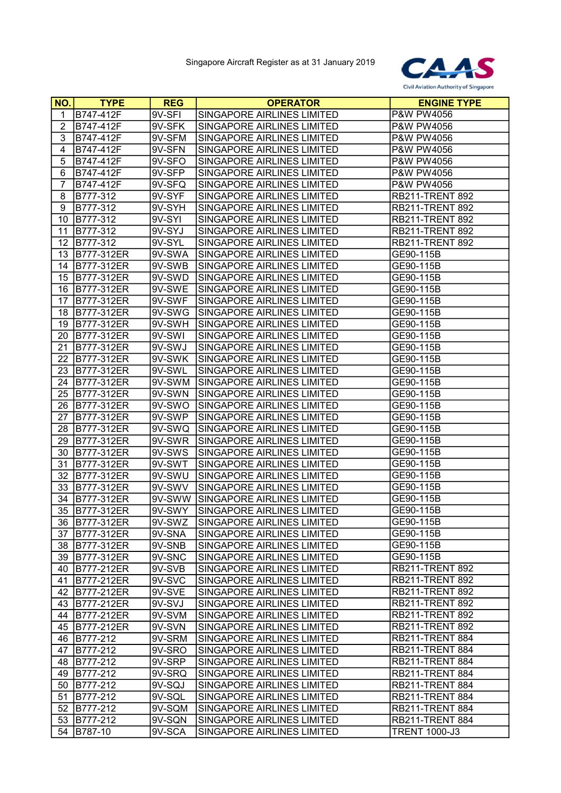

| <b>NO.</b>     | <b>TYPE</b>       | <b>REG</b> | <b>OPERATOR</b>                   | <b>ENGINE TYPE</b>     |
|----------------|-------------------|------------|-----------------------------------|------------------------|
| 1              | B747-412F         | 9V-SFI     | SINGAPORE AIRLINES LIMITED        | <b>P&amp;W PW4056</b>  |
| $\overline{2}$ | B747-412F         | 9V-SFK     | SINGAPORE AIRLINES LIMITED        | P&W PW4056             |
| 3              | B747-412F         | 9V-SFM     | SINGAPORE AIRLINES LIMITED        | P&W PW4056             |
| 4              | B747-412F         | 9V-SFN     | SINGAPORE AIRLINES LIMITED        | P&W PW4056             |
| 5              | B747-412F         | 9V-SFO     | SINGAPORE AIRLINES LIMITED        | P&W PW4056             |
| 6              | B747-412F         | $9V-$ SFP  | SINGAPORE AIRLINES LIMITED        | P&W PW4056             |
| $\overline{7}$ | B747-412F         | 9V-SFQ     | SINGAPORE AIRLINES LIMITED        | P&W PW4056             |
| 8              | B777-312          | 9V-SYF     | SINGAPORE AIRLINES LIMITED        | RB211-TRENT 892        |
| 9              | B777-312          | 9V-SYH     | SINGAPORE AIRLINES LIMITED        | <b>RB211-TRENT 892</b> |
| 10             | B777-312          | 9V-SYI     | SINGAPORE AIRLINES LIMITED        | <b>RB211-TRENT 892</b> |
| 11             | B777-312          | 9V-SYJ     | SINGAPORE AIRLINES LIMITED        | <b>RB211-TRENT 892</b> |
| 12             | B777-312          | $9V-SYL$   | SINGAPORE AIRLINES LIMITED        | <b>RB211-TRENT 892</b> |
| 13             | B777-312ER        | 9V-SWA     | SINGAPORE AIRLINES LIMITED        | GE90-115B              |
| 14             | B777-312ER        | 9V-SWB     | SINGAPORE AIRLINES LIMITED        | GE90-115B              |
| 15             | B777-312ER        | 9V-SWD     | SINGAPORE AIRLINES LIMITED        | GE90-115B              |
| 16             | B777-312ER        | 9V-SWE     | SINGAPORE AIRLINES LIMITED        | GE90-115B              |
| 17             | B777-312ER        | 9V-SWF     | SINGAPORE AIRLINES LIMITED        | GE90-115B              |
| 18             | <b>B777-312ER</b> | 9V-SWG     | SINGAPORE AIRLINES LIMITED        | GE90-115B              |
| 19             | B777-312ER        | 9V-SWH     | SINGAPORE AIRLINES LIMITED        | GE90-115B              |
| 20             | B777-312ER        | 9V-SWI     | SINGAPORE AIRLINES LIMITED        | GE90-115B              |
| 21             | B777-312ER        | 9V-SWJ     | <b>SINGAPORE AIRLINES LIMITED</b> | GE90-115B              |
| 22             | B777-312ER        | 9V-SWK     | SINGAPORE AIRLINES LIMITED        | GE90-115B              |
| 23             | B777-312ER        | 9V-SWL     | SINGAPORE AIRLINES LIMITED        | GE90-115B              |
| 24             | B777-312ER        | 9V-SWM     | <b>SINGAPORE AIRLINES LIMITED</b> | GE90-115B              |
| 25             | B777-312ER        | 9V-SWN     | SINGAPORE AIRLINES LIMITED        | GE90-115B              |
| 26             | B777-312ER        | 9V-SWO     | SINGAPORE AIRLINES LIMITED        | GE90-115B              |
| 27             | B777-312ER        | 9V-SWP     | SINGAPORE AIRLINES LIMITED        | GE90-115B              |
| 28             | B777-312ER        | 9V-SWQ     | <b>SINGAPORE AIRLINES LIMITED</b> | GE90-115B              |
| 29             | B777-312ER        | 9V-SWR     | SINGAPORE AIRLINES LIMITED        | GE90-115B              |
| 30             | B777-312ER        | 9V-SWS     | SINGAPORE AIRLINES LIMITED        | GE90-115B              |
| 31             | B777-312ER        | 9V-SWT     | SINGAPORE AIRLINES LIMITED        | GE90-115B              |
| 32             | B777-312ER        | 9V-SWU     | SINGAPORE AIRLINES LIMITED        | GE90-115B              |
| 33             | B777-312ER        | 9V-SWV     | SINGAPORE AIRLINES LIMITED        | GE90-115B              |
| 34             | B777-312ER        | 9V-SWW     | <b>SINGAPORE AIRLINES LIMITED</b> | GE90-115B              |
| 35             | B777-312ER        | 9V-SWY     | <b>SINGAPORE AIRLINES LIMITED</b> | GE90-115B              |
|                | 36 B777-312ER     | 9V-SWZ     | SINGAPORE AIRLINES LIMITED        | GE90-115B              |
| 37             | B777-312ER        | 9V-SNA     | SINGAPORE AIRLINES LIMITED        | GE90-115B              |
| 38             | B777-312ER        | 9V-SNB     | SINGAPORE AIRLINES LIMITED        | GE90-115B              |
| 39             | B777-312ER        | 9V-SNC     | SINGAPORE AIRLINES LIMITED        | GE90-115B              |
| 40             | B777-212ER        | 9V-SVB     | SINGAPORE AIRLINES LIMITED        | <b>RB211-TRENT 892</b> |
| 41             | B777-212ER        | 9V-SVC     | SINGAPORE AIRLINES LIMITED        | <b>RB211-TRENT 892</b> |
| 42             | B777-212ER        | 9V-SVE     | SINGAPORE AIRLINES LIMITED        | <b>RB211-TRENT 892</b> |
| 43             | B777-212ER        | 9V-SVJ     | SINGAPORE AIRLINES LIMITED        | <b>RB211-TRENT 892</b> |
| 44             | B777-212ER        | 9V-SVM     | SINGAPORE AIRLINES LIMITED        | <b>RB211-TRENT 892</b> |
| 45             | B777-212ER        | 9V-SVN     | SINGAPORE AIRLINES LIMITED        | <b>RB211-TRENT 892</b> |
| 46             | B777-212          | 9V-SRM     | SINGAPORE AIRLINES LIMITED        | RB211-TRENT 884        |
| 47             | B777-212          | 9V-SRO     | SINGAPORE AIRLINES LIMITED        | RB211-TRENT 884        |
| 48             | B777-212          | 9V-SRP     | SINGAPORE AIRLINES LIMITED        | RB211-TRENT 884        |
| 49             | B777-212          | 9V-SRQ     | SINGAPORE AIRLINES LIMITED        | RB211-TRENT 884        |
| 50             | B777-212          | 9V-SQJ     | SINGAPORE AIRLINES LIMITED        | <b>RB211-TRENT 884</b> |
| 51             | B777-212          | 9V-SQL     | SINGAPORE AIRLINES LIMITED        | RB211-TRENT 884        |
| 52             | B777-212          | 9V-SQM     | SINGAPORE AIRLINES LIMITED        | RB211-TRENT 884        |
| 53             | B777-212          | 9V-SQN     | SINGAPORE AIRLINES LIMITED        | RB211-TRENT 884        |
| 54             | B787-10           | 9V-SCA     | SINGAPORE AIRLINES LIMITED        | <b>TRENT 1000-J3</b>   |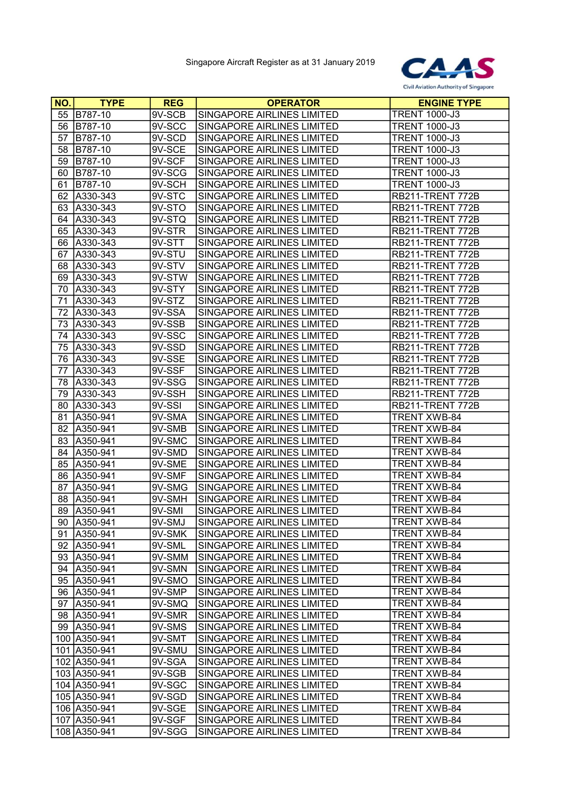

| NO. | <b>TYPE</b>    | <b>REG</b> | <b>OPERATOR</b>                   | <b>ENGINE TYPE</b>   |
|-----|----------------|------------|-----------------------------------|----------------------|
| 55  | <b>B787-10</b> | 9V-SCB     | SINGAPORE AIRLINES LIMITED        | <b>TRENT 1000-J3</b> |
| 56  | B787-10        | 9V-SCC     | SINGAPORE AIRLINES LIMITED        | <b>TRENT 1000-J3</b> |
| 57  | B787-10        | 9V-SCD     | SINGAPORE AIRLINES LIMITED        | <b>TRENT 1000-J3</b> |
| 58  | B787-10        | 9V-SCE     | SINGAPORE AIRLINES LIMITED        | <b>TRENT 1000-J3</b> |
| 59  | B787-10        | 9V-SCF     | SINGAPORE AIRLINES LIMITED        | <b>TRENT 1000-J3</b> |
| 60  | B787-10        | 9V-SCG     | SINGAPORE AIRLINES LIMITED        | <b>TRENT 1000-J3</b> |
| 61  | B787-10        | 9V-SCH     | SINGAPORE AIRLINES LIMITED        | <b>TRENT 1000-J3</b> |
| 62  | A330-343       | 9V-STC     | SINGAPORE AIRLINES LIMITED        | RB211-TRENT 772B     |
| 63  | A330-343       | 9V-STO     | SINGAPORE AIRLINES LIMITED        | RB211-TRENT 772B     |
| 64  | A330-343       | 9V-STQ     | SINGAPORE AIRLINES LIMITED        | RB211-TRENT 772B     |
| 65  | A330-343       | 9V-STR     | SINGAPORE AIRLINES LIMITED        | RB211-TRENT 772B     |
| 66  | A330-343       | 9V-STT     | SINGAPORE AIRLINES LIMITED        | RB211-TRENT 772B     |
| 67  | A330-343       | 9V-STU     | SINGAPORE AIRLINES LIMITED        | RB211-TRENT 772B     |
| 68  | A330-343       | 9V-STV     | SINGAPORE AIRLINES LIMITED        | RB211-TRENT 772B     |
| 69  | A330-343       | 9V-STW     | SINGAPORE AIRLINES LIMITED        | RB211-TRENT 772B     |
| 70  | A330-343       | 9V-STY     | SINGAPORE AIRLINES LIMITED        | RB211-TRENT 772B     |
| 71  | A330-343       | 9V-STZ     | SINGAPORE AIRLINES LIMITED        | RB211-TRENT 772B     |
| 72  | A330-343       | 9V-SSA     | SINGAPORE AIRLINES LIMITED        | RB211-TRENT 772B     |
| 73  | A330-343       | 9V-SSB     | SINGAPORE AIRLINES LIMITED        | RB211-TRENT 772B     |
| 74  | A330-343       | 9V-SSC     | SINGAPORE AIRLINES LIMITED        | RB211-TRENT 772B     |
| 75  | A330-343       | 9V-SSD     | <b>SINGAPORE AIRLINES LIMITED</b> | RB211-TRENT 772B     |
| 76  | A330-343       | 9V-SSE     | SINGAPORE AIRLINES LIMITED        | RB211-TRENT 772B     |
| 77  | A330-343       | 9V-SSF     | SINGAPORE AIRLINES LIMITED        | RB211-TRENT 772B     |
| 78  | A330-343       | 9V-SSG     | <b>SINGAPORE AIRLINES LIMITED</b> | RB211-TRENT 772B     |
| 79  | A330-343       | 9V-SSH     | SINGAPORE AIRLINES LIMITED        | RB211-TRENT 772B     |
| 80  | A330-343       | 9V-SSI     | SINGAPORE AIRLINES LIMITED        | RB211-TRENT 772B     |
| 81  | A350-941       | 9V-SMA     | SINGAPORE AIRLINES LIMITED        | TRENT XWB-84         |
| 82  | A350-941       | 9V-SMB     | SINGAPORE AIRLINES LIMITED        | TRENT XWB-84         |
| 83  | A350-941       | 9V-SMC     | SINGAPORE AIRLINES LIMITED        | <b>TRENT XWB-84</b>  |
| 84  | A350-941       | 9V-SMD     | SINGAPORE AIRLINES LIMITED        | <b>TRENT XWB-84</b>  |
| 85  | A350-941       | 9V-SME     | SINGAPORE AIRLINES LIMITED        | <b>TRENT XWB-84</b>  |
| 86  | A350-941       | 9V-SMF     | SINGAPORE AIRLINES LIMITED        | <b>TRENT XWB-84</b>  |
| 87  | A350-941       | 9V-SMG     | SINGAPORE AIRLINES LIMITED        | TRENT XWB-84         |
| 88  | A350-941       | 9V-SMH     | SINGAPORE AIRLINES LIMITED        | TRENT XWB-84         |
| 89  | A350-941       | 9V-SMI     | SINGAPORE AIRLINES LIMITED        | TRENT XWB-84         |
|     | 90 A350-941    | 9V-SMJ     | SINGAPORE AIRLINES LIMITED        | TRENT XWB-84         |
| 91  | A350-941       | 9V-SMK     | SINGAPORE AIRLINES LIMITED        | <b>TRENT XWB-84</b>  |
|     | 92 A350-941    | 9V-SML     | SINGAPORE AIRLINES LIMITED        | <b>TRENT XWB-84</b>  |
| 93  | A350-941       | 9V-SMM     | SINGAPORE AIRLINES LIMITED        | <b>TRENT XWB-84</b>  |
| 94  | A350-941       | 9V-SMN     | SINGAPORE AIRLINES LIMITED        | <b>TRENT XWB-84</b>  |
| 95  | A350-941       | 9V-SMO     | SINGAPORE AIRLINES LIMITED        | TRENT XWB-84         |
|     | 96   A350-941  | 9V-SMP     | SINGAPORE AIRLINES LIMITED        | <b>TRENT XWB-84</b>  |
| 97  | A350-941       | 9V-SMQ     | SINGAPORE AIRLINES LIMITED        | <b>TRENT XWB-84</b>  |
| 98  | A350-941       | 9V-SMR     | SINGAPORE AIRLINES LIMITED        | TRENT XWB-84         |
|     | 99 A350-941    | 9V-SMS     | SINGAPORE AIRLINES LIMITED        | TRENT XWB-84         |
|     | 100 A350-941   | 9V-SMT     | SINGAPORE AIRLINES LIMITED        | <b>TRENT XWB-84</b>  |
|     | 101 A350-941   | 9V-SMU     | SINGAPORE AIRLINES LIMITED        | <b>TRENT XWB-84</b>  |
|     | 102 A350-941   | 9V-SGA     | SINGAPORE AIRLINES LIMITED        | <b>TRENT XWB-84</b>  |
|     | 103 A350-941   | 9V-SGB     | SINGAPORE AIRLINES LIMITED        | TRENT XWB-84         |
|     | 104 A350-941   | $9V-SGC$   | SINGAPORE AIRLINES LIMITED        | TRENT XWB-84         |
|     | 105 A350-941   | 9V-SGD     | SINGAPORE AIRLINES LIMITED        | TRENT XWB-84         |
|     | 106 A350-941   | 9V-SGE     | SINGAPORE AIRLINES LIMITED        | <b>TRENT XWB-84</b>  |
|     | 107 A350-941   | 9V-SGF     | SINGAPORE AIRLINES LIMITED        | TRENT XWB-84         |
|     | 108 A350-941   | 9V-SGG     | SINGAPORE AIRLINES LIMITED        | <b>TRENT XWB-84</b>  |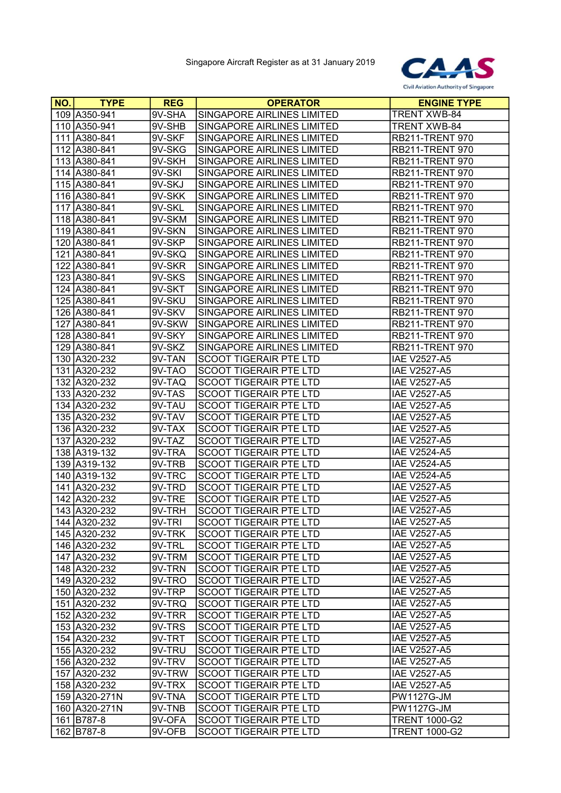

| <b>NO.</b> | <b>TYPE</b>   | <b>REG</b> | <b>OPERATOR</b>               | <b>ENGINE TYPE</b>     |
|------------|---------------|------------|-------------------------------|------------------------|
|            | 109 A350-941  | 9V-SHA     | SINGAPORE AIRLINES LIMITED    | <b>TRENT XWB-84</b>    |
|            | 110 A350-941  | 9V-SHB     | SINGAPORE AIRLINES LIMITED    | <b>TRENT XWB-84</b>    |
|            | 111 A380-841  | 9V-SKF     | SINGAPORE AIRLINES LIMITED    | <b>RB211-TRENT 970</b> |
|            | 112 A380-841  | 9V-SKG     | SINGAPORE AIRLINES LIMITED    | <b>RB211-TRENT 970</b> |
|            | 113 A380-841  | 9V-SKH     | SINGAPORE AIRLINES LIMITED    | <b>RB211-TRENT 970</b> |
|            | 114 A380-841  | 9V-SKI     | SINGAPORE AIRLINES LIMITED    | <b>RB211-TRENT 970</b> |
|            | 115 A380-841  | $9V-SKJ$   | SINGAPORE AIRLINES LIMITED    | <b>RB211-TRENT 970</b> |
|            | 116 A380-841  | 9V-SKK     | SINGAPORE AIRLINES LIMITED    | <b>RB211-TRENT 970</b> |
|            | 117 A380-841  | 9V-SKL     | SINGAPORE AIRLINES LIMITED    | <b>RB211-TRENT 970</b> |
|            | 118 A380-841  | 9V-SKM     | SINGAPORE AIRLINES LIMITED    | <b>RB211-TRENT 970</b> |
|            | 119 A380-841  | 9V-SKN     | SINGAPORE AIRLINES LIMITED    | <b>RB211-TRENT 970</b> |
|            | 120 A380-841  | 9V-SKP     | SINGAPORE AIRLINES LIMITED    | <b>RB211-TRENT 970</b> |
|            | 121 A380-841  | 9V-SKQ     | SINGAPORE AIRLINES LIMITED    | <b>RB211-TRENT 970</b> |
|            | 122 A380-841  | 9V-SKR     | SINGAPORE AIRLINES LIMITED    | <b>RB211-TRENT 970</b> |
|            | 123 A380-841  | 9V-SKS     | SINGAPORE AIRLINES LIMITED    | <b>RB211-TRENT 970</b> |
|            | 124 A380-841  | 9V-SKT     | SINGAPORE AIRLINES LIMITED    | <b>RB211-TRENT 970</b> |
|            | 125 A380-841  | 9V-SKU     | SINGAPORE AIRLINES LIMITED    | <b>RB211-TRENT 970</b> |
|            | 126 A380-841  | 9V-SKV     | SINGAPORE AIRLINES LIMITED    | <b>RB211-TRENT 970</b> |
|            | 127 A380-841  | 9V-SKW     | SINGAPORE AIRLINES LIMITED    | <b>RB211-TRENT 970</b> |
|            | 128 A380-841  | 9V-SKY     | SINGAPORE AIRLINES LIMITED    | <b>RB211-TRENT 970</b> |
|            | 129 A380-841  | 9V-SKZ     | SINGAPORE AIRLINES LIMITED    | <b>RB211-TRENT 970</b> |
|            | 130 A320-232  | 9V-TAN     | <b>SCOOT TIGERAIR PTE LTD</b> | <b>IAE V2527-A5</b>    |
|            | 131 A320-232  | 9V-TAO     | <b>SCOOT TIGERAIR PTE LTD</b> | <b>IAE V2527-A5</b>    |
|            | 132 A320-232  | 9V-TAQ     | SCOOT TIGERAIR PTE LTD        | <b>IAE V2527-A5</b>    |
|            | 133 A320-232  | 9V-TAS     | <b>SCOOT TIGERAIR PTE LTD</b> | <b>IAE V2527-A5</b>    |
|            | 134 A320-232  | 9V-TAU     | <b>SCOOT TIGERAIR PTE LTD</b> | <b>IAE V2527-A5</b>    |
|            | 135 A320-232  | 9V-TAV     | <b>SCOOT TIGERAIR PTE LTD</b> | <b>IAE V2527-A5</b>    |
|            | 136 A320-232  | 9V-TAX     | <b>SCOOT TIGERAIR PTE LTD</b> | <b>IAE V2527-A5</b>    |
|            | 137 A320-232  | 9V-TAZ     | <b>SCOOT TIGERAIR PTE LTD</b> | <b>IAE V2527-A5</b>    |
|            | 138 A319-132  | 9V-TRA     | <b>SCOOT TIGERAIR PTE LTD</b> | <b>IAE V2524-A5</b>    |
|            | 139 A319-132  | 9V-TRB     | <b>SCOOT TIGERAIR PTE LTD</b> | <b>IAE V2524-A5</b>    |
|            | 140 A319-132  | 9V-TRC     | <b>SCOOT TIGERAIR PTE LTD</b> | <b>IAE V2524-A5</b>    |
|            | 141 A320-232  | 9V-TRD     | <b>SCOOT TIGERAIR PTE LTD</b> | <b>IAE V2527-A5</b>    |
|            | 142 A320-232  | 9V-TRE     | <b>SCOOT TIGERAIR PTE LTD</b> | <b>IAE V2527-A5</b>    |
|            | 143 A320-232  | 9V-TRH     | <b>SCOOT TIGERAIR PTE LTD</b> | <b>IAE V2527-A5</b>    |
|            | 144 A320-232  | 9V-TRI     | <b>SCOOT TIGERAIR PTE LTD</b> | <b>IAE V2527-A5</b>    |
|            | 145 A320-232  | 9V-TRK     | <b>SCOOT TIGERAIR PTE LTD</b> | <b>IAE V2527-A5</b>    |
|            | 146 A320-232  | 9V-TRL     | <b>SCOOT TIGERAIR PTE LTD</b> | <b>IAE V2527-A5</b>    |
|            | 147 A320-232  | 9V-TRM     | <b>SCOOT TIGERAIR PTE LTD</b> | <b>IAE V2527-A5</b>    |
|            | 148 A320-232  | 9V-TRN     | <b>SCOOT TIGERAIR PTE LTD</b> | <b>IAE V2527-A5</b>    |
|            | 149 A320-232  | $9V-TRO$   | <b>SCOOT TIGERAIR PTE LTD</b> | <b>IAE V2527-A5</b>    |
|            | 150 A320-232  | $9V-TRP$   | <b>SCOOT TIGERAIR PTE LTD</b> | <b>IAE V2527-A5</b>    |
|            | 151 A320-232  | 9V-TRQ     | <b>SCOOT TIGERAIR PTE LTD</b> | <b>IAE V2527-A5</b>    |
|            | 152 A320-232  | $9V-TRR$   | <b>SCOOT TIGERAIR PTE LTD</b> | <b>IAE V2527-A5</b>    |
|            | 153 A320-232  | 9V-TRS     | <b>SCOOT TIGERAIR PTE LTD</b> | <b>IAE V2527-A5</b>    |
|            | 154 A320-232  | 9V-TRT     | <b>SCOOT TIGERAIR PTE LTD</b> | <b>IAE V2527-A5</b>    |
|            | 155 A320-232  | 9V-TRU     | <b>SCOOT TIGERAIR PTE LTD</b> | <b>IAE V2527-A5</b>    |
|            | 156 A320-232  | $9V-TRV$   | <b>SCOOT TIGERAIR PTE LTD</b> | <b>IAE V2527-A5</b>    |
|            | 157 A320-232  | 9V-TRW     | <b>SCOOT TIGERAIR PTE LTD</b> | <b>IAE V2527-A5</b>    |
|            | 158 A320-232  | 9V-TRX     | <b>SCOOT TIGERAIR PTE LTD</b> | <b>IAE V2527-A5</b>    |
|            | 159 A320-271N | 9V-TNA     | <b>SCOOT TIGERAIR PTE LTD</b> | <b>PW1127G-JM</b>      |
|            | 160 A320-271N | 9V-TNB     | <b>SCOOT TIGERAIR PTE LTD</b> | <b>PW1127G-JM</b>      |
|            | 161 B787-8    | 9V-OFA     | <b>SCOOT TIGERAIR PTE LTD</b> | <b>TRENT 1000-G2</b>   |
|            | 162 B787-8    | 9V-OFB     | <b>SCOOT TIGERAIR PTE LTD</b> | <b>TRENT 1000-G2</b>   |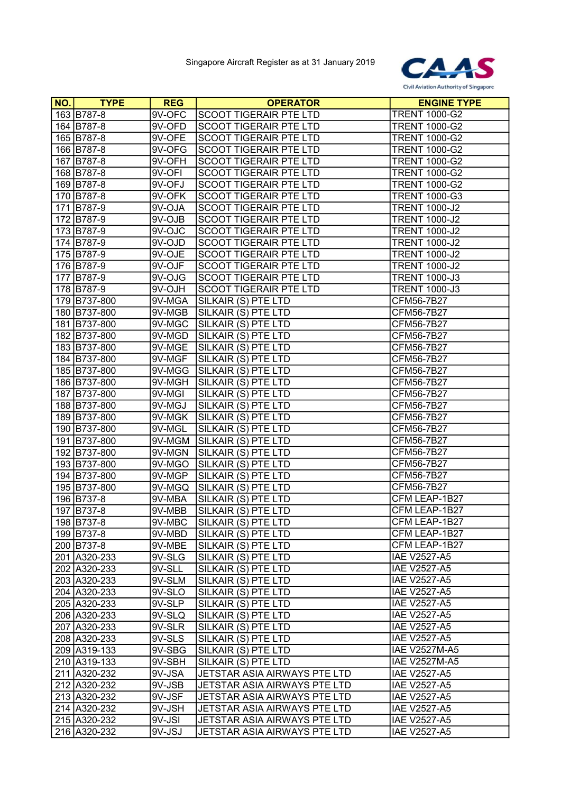

| NO. | <b>TYPE</b>  | <b>REG</b> | <b>OPERATOR</b>               | <b>ENGINE TYPE</b>   |
|-----|--------------|------------|-------------------------------|----------------------|
|     | 163 B787-8   | 9V-OFC     | SCOOT TIGERAIR PTE LTD        | <b>TRENT 1000-G2</b> |
|     | 164 B787-8   | 9V-OFD     | <b>SCOOT TIGERAIR PTE LTD</b> | <b>TRENT 1000-G2</b> |
|     | 165 B787-8   | 9V-OFE     | <b>SCOOT TIGERAIR PTE LTD</b> | <b>TRENT 1000-G2</b> |
|     | 166 B787-8   | 9V-OFG     | SCOOT TIGERAIR PTE LTD        | <b>TRENT 1000-G2</b> |
|     | 167 B787-8   | 9V-OFH     | <b>SCOOT TIGERAIR PTE LTD</b> | <b>TRENT 1000-G2</b> |
|     | 168 B787-8   | 9V-OFI     | <b>SCOOT TIGERAIR PTE LTD</b> | <b>TRENT 1000-G2</b> |
|     | 169 B787-8   | 9V-OFJ     | SCOOT TIGERAIR PTE LTD        | <b>TRENT 1000-G2</b> |
|     | 170 B787-8   | 9V-OFK     | SCOOT TIGERAIR PTE LTD        | <b>TRENT 1000-G3</b> |
|     | 171 B787-9   | 9V-OJA     | SCOOT TIGERAIR PTE LTD        | <b>TRENT 1000-J2</b> |
|     | 172 B787-9   | 9V-OJB     | <b>SCOOT TIGERAIR PTE LTD</b> | <b>TRENT 1000-J2</b> |
|     | 173 B787-9   | 9V-OJC     | <b>SCOOT TIGERAIR PTE LTD</b> | <b>TRENT 1000-J2</b> |
|     | 174 B787-9   | 9V-OJD     | <b>SCOOT TIGERAIR PTE LTD</b> | <b>TRENT 1000-J2</b> |
|     | 175 B787-9   | 9V-OJE     | <b>SCOOT TIGERAIR PTE LTD</b> | <b>TRENT 1000-J2</b> |
|     | 176 B787-9   | 9V-OJF     | <b>SCOOT TIGERAIR PTE LTD</b> | <b>TRENT 1000-J2</b> |
|     | 177 B787-9   | 9V-OJG     | <b>SCOOT TIGERAIR PTE LTD</b> | <b>TRENT 1000-J3</b> |
|     | 178 B787-9   | 9V-OJH     | SCOOT TIGERAIR PTE LTD        | <b>TRENT 1000-J3</b> |
|     | 179 B737-800 | 9V-MGA     | SILKAIR (S) PTE LTD           | CFM56-7B27           |
|     | 180 B737-800 | 9V-MGB     | SILKAIR (S) PTE LTD           | CFM56-7B27           |
|     | 181 B737-800 | 9V-MGC     | SILKAIR (S) PTE LTD           | CFM56-7B27           |
|     | 182 B737-800 | 9V-MGD     | SILKAIR (S) PTE LTD           | CFM56-7B27           |
|     | 183 B737-800 | 9V-MGE     | SILKAIR (S) PTE LTD           | CFM56-7B27           |
|     | 184 B737-800 | 9V-MGF     | SILKAIR (S) PTE LTD           | CFM56-7B27           |
|     | 185 B737-800 | 9V-MGG     | SILKAIR (S) PTE LTD           | CFM56-7B27           |
|     | 186 B737-800 | 9V-MGH     | SILKAIR (S) PTE LTD           | CFM56-7B27           |
|     | 187 B737-800 | 9V-MGI     | SILKAIR (S) PTE LTD           | CFM56-7B27           |
|     | 188 B737-800 | 9V-MGJ     | SILKAIR (S) PTE LTD           | CFM56-7B27           |
|     | 189 B737-800 | 9V-MGK     | SILKAIR (S) PTE LTD           | CFM56-7B27           |
|     | 190 B737-800 | 9V-MGL     | SILKAIR (S) PTE LTD           | CFM56-7B27           |
|     | 191 B737-800 | 9V-MGM     | SILKAIR (S) PTE LTD           | CFM56-7B27           |
|     | 192 B737-800 | 9V-MGN     | SILKAIR (S) PTE LTD           | CFM56-7B27           |
|     | 193 B737-800 | 9V-MGO     | SILKAIR (S) PTE LTD           | CFM56-7B27           |
|     | 194 B737-800 | 9V-MGP     | SILKAIR (S) PTE LTD           | CFM56-7B27           |
|     | 195 B737-800 | 9V-MGQ     | SILKAIR (S) PTE LTD           | CFM56-7B27           |
|     | 196 B737-8   | 9V-MBA     | SILKAIR (S) PTE LTD           | CFM LEAP-1B27        |
|     | 197 B737-8   | 9V-MBB     | SILKAIR (S) PTE LTD           | CFM LEAP-1B27        |
|     | 198 B737-8   | 9V-MBC     | SILKAIR (S) PTE LTD           | CFM LEAP-1B27        |
|     | 199 B737-8   | 9V-MBD     | SILKAIR (S) PTE LTD           | CFM LEAP-1B27        |
|     | 200 B737-8   | 9V-MBE     | SILKAIR (S) PTE LTD           | CFM LEAP-1B27        |
|     | 201 A320-233 | 9V-SLG     | SILKAIR (S) PTE LTD           | <b>IAE V2527-A5</b>  |
|     | 202 A320-233 | 9V-SLL     | SILKAIR (S) PTE LTD           | <b>IAE V2527-A5</b>  |
|     | 203 A320-233 | 9V-SLM     | SILKAIR (S) PTE LTD           | <b>IAE V2527-A5</b>  |
|     | 204 A320-233 | 9V-SLO     | SILKAIR (S) PTE LTD           | <b>IAE V2527-A5</b>  |
|     | 205 A320-233 | 9V-SLP     | SILKAIR (S) PTE LTD           | <b>IAE V2527-A5</b>  |
|     | 206 A320-233 | 9V-SLQ     | SILKAIR (S) PTE LTD           | <b>IAE V2527-A5</b>  |
|     | 207 A320-233 | 9V-SLR     | SILKAIR (S) PTE LTD           | <b>IAE V2527-A5</b>  |
|     | 208 A320-233 | $9V-SLS$   | SILKAIR (S) PTE LTD           | <b>IAE V2527-A5</b>  |
|     | 209 A319-133 | 9V-SBG     | SILKAIR (S) PTE LTD           | <b>IAE V2527M-A5</b> |
|     | 210 A319-133 | 9V-SBH     | SILKAIR (S) PTE LTD           | <b>IAE V2527M-A5</b> |
|     | 211 A320-232 | 9V-JSA     | JETSTAR ASIA AIRWAYS PTE LTD  | <b>IAE V2527-A5</b>  |
|     | 212 A320-232 | 9V-JSB     | JETSTAR ASIA AIRWAYS PTE LTD  | <b>IAE V2527-A5</b>  |
|     | 213 A320-232 | 9V-JSF     | JETSTAR ASIA AIRWAYS PTE LTD  | <b>IAE V2527-A5</b>  |
|     | 214 A320-232 | 9V-JSH     | JETSTAR ASIA AIRWAYS PTE LTD  | <b>IAE V2527-A5</b>  |
|     | 215 A320-232 | 9V-JSI     | JETSTAR ASIA AIRWAYS PTE LTD  | <b>IAE V2527-A5</b>  |
|     | 216 A320-232 | 9V-JSJ     | JETSTAR ASIA AIRWAYS PTE LTD  | <b>IAE V2527-A5</b>  |